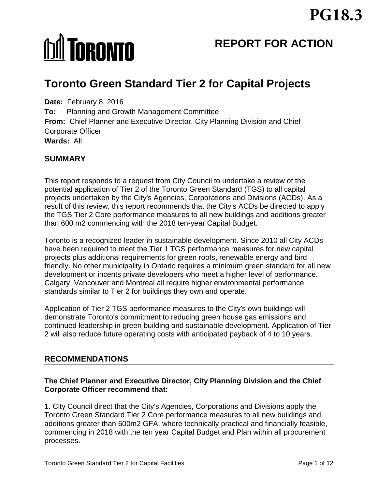# **MI TORONTO**

# **REPORT FOR ACTION**

# **Toronto Green Standard Tier 2 for Capital Projects**

**Date:** February 8, 2016 **To:** Planning and Growth Management Committee **From:** Chief Planner and Executive Director, City Planning Division and Chief Corporate Officer **Wards:** All

#### **SUMMARY**

This report responds to a request from City Council to undertake a review of the potential application of Tier 2 of the Toronto Green Standard (TGS) to all capital projects undertaken by the City's Agencies, Corporations and Divisions (ACDs). As a result of this review, this report recommends that the City's ACDs be directed to apply the TGS Tier 2 Core performance measures to all new buildings and additions greater than 600 m2 commencing with the 2018 ten-year Capital Budget.

Toronto is a recognized leader in sustainable development. Since 2010 all City ACDs have been required to meet the Tier 1 TGS performance measures for new capital projects plus additional requirements for green roofs, renewable energy and bird friendly. No other municipality in Ontario requires a minimum green standard for all new development or incents private developers who meet a higher level of performance. Calgary, Vancouver and Montreal all require higher environmental performance standards similar to Tier 2 for buildings they own and operate.

Application of Tier 2 TGS performance measures to the City's own buildings will demonstrate Toronto's commitment to reducing green house gas emissions and continued leadership in green building and sustainable development. Application of Tier 2 will also reduce future operating costs with anticipated payback of 4 to 10 years.

#### **RECOMMENDATIONS**

#### **The Chief Planner and Executive Director, City Planning Division and the Chief Corporate Officer recommend that:**

1. City Council direct that the City's Agencies, Corporations and Divisions apply the Toronto Green Standard Tier 2 Core performance measures to all new buildings and additions greater than 600m2 GFA, where technically practical and financially feasible, commencing in 2018 with the ten year Capital Budget and Plan within all procurement processes.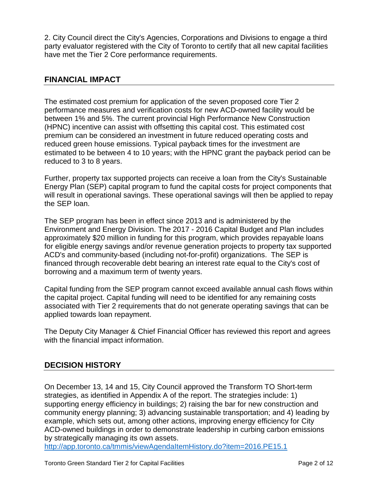2. City Council direct the City's Agencies, Corporations and Divisions to engage a third party evaluator registered with the City of Toronto to certify that all new capital facilities have met the Tier 2 Core performance requirements.

#### **FINANCIAL IMPACT**

The estimated cost premium for application of the seven proposed core Tier 2 performance measures and verification costs for new ACD-owned facility would be between 1% and 5%. The current provincial High Performance New Construction (HPNC) incentive can assist with offsetting this capital cost. This estimated cost premium can be considered an investment in future reduced operating costs and reduced green house emissions. Typical payback times for the investment are estimated to be between 4 to 10 years; with the HPNC grant the payback period can be reduced to 3 to 8 years.

Further, property tax supported projects can receive a loan from the City's Sustainable Energy Plan (SEP) capital program to fund the capital costs for project components that will result in operational savings. These operational savings will then be applied to repay the SEP loan.

The SEP program has been in effect since 2013 and is administered by the Environment and Energy Division. The 2017 - 2016 Capital Budget and Plan includes approximately \$20 million in funding for this program, which provides repayable loans for eligible energy savings and/or revenue generation projects to property tax supported ACD's and community-based (including not-for-profit) organizations. The SEP is financed through recoverable debt bearing an interest rate equal to the City's cost of borrowing and a maximum term of twenty years.

Capital funding from the SEP program cannot exceed available annual cash flows within the capital project. Capital funding will need to be identified for any remaining costs associated with Tier 2 requirements that do not generate operating savings that can be applied towards loan repayment.

The Deputy City Manager & Chief Financial Officer has reviewed this report and agrees with the financial impact information.

#### **DECISION HISTORY**

On December 13, 14 and 15, City Council approved the Transform TO Short-term strategies, as identified in Appendix A of the report. The strategies include: 1) supporting energy efficiency in buildings; 2) raising the bar for new construction and community energy planning; 3) advancing sustainable transportation; and 4) leading by example, which sets out, among other actions, improving energy efficiency for City ACD-owned buildings in order to demonstrate leadership in curbing carbon emissions by strategically managing its own assets.

<http://app.toronto.ca/tmmis/viewAgendaItemHistory.do?item=2016.PE15.1>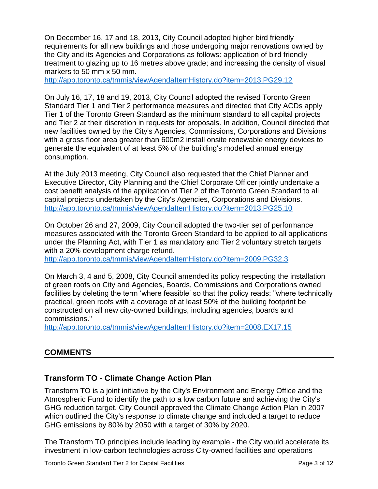On December 16, 17 and 18, 2013, City Council adopted higher bird friendly requirements for all new buildings and those undergoing major renovations owned by the City and its Agencies and Corporations as follows: application of bird friendly treatment to glazing up to 16 metres above grade; and increasing the density of visual markers to 50 mm x 50 mm.

<http://app.toronto.ca/tmmis/viewAgendaItemHistory.do?item=2013.PG29.12>

On July 16, 17, 18 and 19, 2013, City Council adopted the revised Toronto Green Standard Tier 1 and Tier 2 performance measures and directed that City ACDs apply Tier 1 of the Toronto Green Standard as the minimum standard to all capital projects and Tier 2 at their discretion in requests for proposals. In addition, Council directed that new facilities owned by the City's Agencies, Commissions, Corporations and Divisions with a gross floor area greater than 600m2 install onsite renewable energy devices to generate the equivalent of at least 5% of the building's modelled annual energy consumption.

At the July 2013 meeting, City Council also requested that the Chief Planner and Executive Director, City Planning and the Chief Corporate Officer jointly undertake a cost benefit analysis of the application of Tier 2 of the Toronto Green Standard to all capital projects undertaken by the City's Agencies, Corporations and Divisions. <http://app.toronto.ca/tmmis/viewAgendaItemHistory.do?item=2013.PG25.10>

On October 26 and 27, 2009, City Council adopted the two-tier set of performance measures associated with the Toronto Green Standard to be applied to all applications under the Planning Act, with Tier 1 as mandatory and Tier 2 voluntary stretch targets with a 20% development charge refund.

<http://app.toronto.ca/tmmis/viewAgendaItemHistory.do?item=2009.PG32.3>

On March 3, 4 and 5, 2008, City Council amended its policy respecting the installation of green roofs on City and Agencies, Boards, Commissions and Corporations owned facilities by deleting the term 'where feasible' so that the policy reads: "where technically practical, green roofs with a coverage of at least 50% of the building footprint be constructed on all new city-owned buildings, including agencies, boards and commissions."

<http://app.toronto.ca/tmmis/viewAgendaItemHistory.do?item=2008.EX17.15>

# **COMMENTS**

# **Transform TO - Climate Change Action Plan**

Transform TO is a joint initiative by the City's Environment and Energy Office and the Atmospheric Fund to identify the path to a low carbon future and achieving the City's GHG reduction target. City Council approved the Climate Change Action Plan in 2007 which outlined the City's response to climate change and included a target to reduce GHG emissions by 80% by 2050 with a target of 30% by 2020.

The Transform TO principles include leading by example - the City would accelerate its investment in low-carbon technologies across City-owned facilities and operations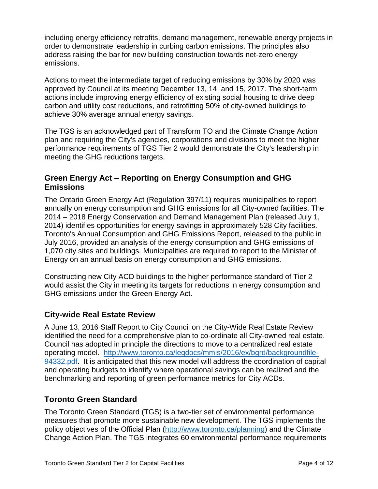including energy efficiency retrofits, demand management, renewable energy projects in order to demonstrate leadership in curbing carbon emissions. The principles also address raising the bar for new building construction towards net-zero energy emissions.

Actions to meet the intermediate target of reducing emissions by 30% by 2020 was approved by Council at its meeting December 13, 14, and 15, 2017. The short-term actions include improving energy efficiency of existing social housing to drive deep carbon and utility cost reductions, and retrofitting 50% of city-owned buildings to achieve 30% average annual energy savings.

The TGS is an acknowledged part of Transform TO and the Climate Change Action plan and requiring the City's agencies, corporations and divisions to meet the higher performance requirements of TGS Tier 2 would demonstrate the City's leadership in meeting the GHG reductions targets.

## **Green Energy Act – Reporting on Energy Consumption and GHG Emissions**

The Ontario Green Energy Act (Regulation 397/11) requires municipalities to report annually on energy consumption and GHG emissions for all City-owned facilities. The 2014 – 2018 Energy Conservation and Demand Management Plan (released July 1, 2014) identifies opportunities for energy savings in approximately 528 City facilities. Toronto's Annual Consumption and GHG Emissions Report, released to the public in July 2016, provided an analysis of the energy consumption and GHG emissions of 1,070 city sites and buildings. Municipalities are required to report to the Minister of Energy on an annual basis on energy consumption and GHG emissions.

Constructing new City ACD buildings to the higher performance standard of Tier 2 would assist the City in meeting its targets for reductions in energy consumption and GHG emissions under the Green Energy Act.

#### **City-wide Real Estate Review**

A June 13, 2016 Staff Report to City Council on the City-Wide Real Estate Review identified the need for a comprehensive plan to co-ordinate all City-owned real estate. Council has adopted in principle the directions to move to a centralized real estate operating model. [http://www.toronto.ca/legdocs/mmis/2016/ex/bgrd/backgroundfile-](http://www.toronto.ca/legdocs/mmis/2016/ex/bgrd/backgroundfile-94332.pdf)[94332.pdf.](http://www.toronto.ca/legdocs/mmis/2016/ex/bgrd/backgroundfile-94332.pdf) It is anticipated that this new model will address the coordination of capital and operating budgets to identify where operational savings can be realized and the benchmarking and reporting of green performance metrics for City ACDs.

# **Toronto Green Standard**

The Toronto Green Standard (TGS) is a two-tier set of environmental performance measures that promote more sustainable new development. The TGS implements the policy objectives of the Official Plan [\(http://www.toronto.ca/planning\)](http://www.toronto.ca/planning) and the Climate Change Action Plan. The TGS integrates 60 environmental performance requirements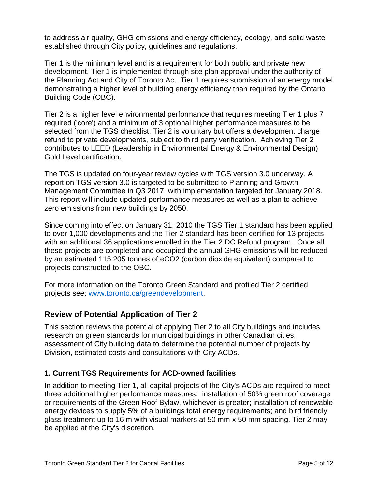to address air quality, GHG emissions and energy efficiency, ecology, and solid waste established through City policy, guidelines and regulations.

Tier 1 is the minimum level and is a requirement for both public and private new development. Tier 1 is implemented through site plan approval under the authority of the Planning Act and City of Toronto Act. Tier 1 requires submission of an energy model demonstrating a higher level of building energy efficiency than required by the Ontario Building Code (OBC).

Tier 2 is a higher level environmental performance that requires meeting Tier 1 plus 7 required ('core') and a minimum of 3 optional higher performance measures to be selected from the TGS checklist. Tier 2 is voluntary but offers a development charge refund to private developments, subject to third party verification. Achieving Tier 2 contributes to LEED (Leadership in Environmental Energy & Environmental Design) Gold Level certification.

The TGS is updated on four-year review cycles with TGS version 3.0 underway. A report on TGS version 3.0 is targeted to be submitted to Planning and Growth Management Committee in Q3 2017, with implementation targeted for January 2018. This report will include updated performance measures as well as a plan to achieve zero emissions from new buildings by 2050.

Since coming into effect on January 31, 2010 the TGS Tier 1 standard has been applied to over 1,000 developments and the Tier 2 standard has been certified for 13 projects with an additional 36 applications enrolled in the Tier 2 DC Refund program. Once all these projects are completed and occupied the annual GHG emissions will be reduced by an estimated 115,205 tonnes of eCO2 (carbon dioxide equivalent) compared to projects constructed to the OBC.

For more information on the Toronto Green Standard and profiled Tier 2 certified projects see: [www.toronto.ca/greendevelopment.](http://www.toronto.ca/greendevelopment)

#### **Review of Potential Application of Tier 2**

This section reviews the potential of applying Tier 2 to all City buildings and includes research on green standards for municipal buildings in other Canadian cities, assessment of City building data to determine the potential number of projects by Division, estimated costs and consultations with City ACDs.

#### **1. Current TGS Requirements for ACD-owned facilities**

In addition to meeting Tier 1, all capital projects of the City's ACDs are required to meet three additional higher performance measures: installation of 50% green roof coverage or requirements of the Green Roof Bylaw, whichever is greater; installation of renewable energy devices to supply 5% of a buildings total energy requirements; and bird friendly glass treatment up to 16 m with visual markers at 50 mm x 50 mm spacing. Tier 2 may be applied at the City's discretion.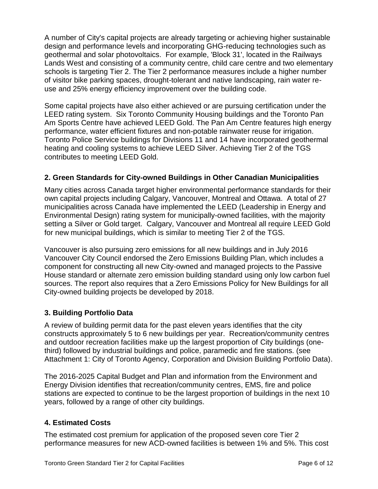A number of City's capital projects are already targeting or achieving higher sustainable design and performance levels and incorporating GHG-reducing technologies such as geothermal and solar photovoltaics. For example, 'Block 31', located in the Railways Lands West and consisting of a community centre, child care centre and two elementary schools is targeting Tier 2. The Tier 2 performance measures include a higher number of visitor bike parking spaces, drought-tolerant and native landscaping, rain water reuse and 25% energy efficiency improvement over the building code.

Some capital projects have also either achieved or are pursuing certification under the LEED rating system. Six Toronto Community Housing buildings and the Toronto Pan Am Sports Centre have achieved LEED Gold. The Pan Am Centre features high energy performance, water efficient fixtures and non-potable rainwater reuse for irrigation. Toronto Police Service buildings for Divisions 11 and 14 have incorporated geothermal heating and cooling systems to achieve LEED Silver. Achieving Tier 2 of the TGS contributes to meeting LEED Gold.

#### **2. Green Standards for City-owned Buildings in Other Canadian Municipalities**

Many cities across Canada target higher environmental performance standards for their own capital projects including Calgary, Vancouver, Montreal and Ottawa. A total of 27 municipalities across Canada have implemented the LEED (Leadership in Energy and Environmental Design) rating system for municipally-owned facilities, with the majority setting a Silver or Gold target. Calgary, Vancouver and Montreal all require LEED Gold for new municipal buildings, which is similar to meeting Tier 2 of the TGS.

Vancouver is also pursuing zero emissions for all new buildings and in July 2016 Vancouver City Council endorsed the Zero Emissions Building Plan, which includes a component for constructing all new City-owned and managed projects to the Passive House standard or alternate zero emission building standard using only low carbon fuel sources. The report also requires that a Zero Emissions Policy for New Buildings for all City-owned building projects be developed by 2018.

#### **3. Building Portfolio Data**

A review of building permit data for the past eleven years identifies that the city constructs approximately 5 to 6 new buildings per year. Recreation/community centres and outdoor recreation facilities make up the largest proportion of City buildings (onethird) followed by industrial buildings and police, paramedic and fire stations. (see Attachment 1: City of Toronto Agency, Corporation and Division Building Portfolio Data).

The 2016-2025 Capital Budget and Plan and information from the Environment and Energy Division identifies that recreation/community centres, EMS, fire and police stations are expected to continue to be the largest proportion of buildings in the next 10 years, followed by a range of other city buildings.

#### **4. Estimated Costs**

The estimated cost premium for application of the proposed seven core Tier 2 performance measures for new ACD-owned facilities is between 1% and 5%. This cost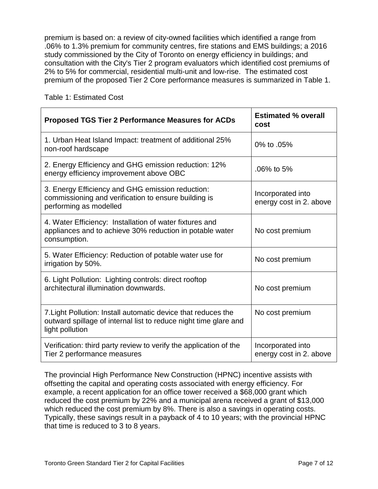premium is based on: a review of city-owned facilities which identified a range from .06% to 1.3% premium for community centres, fire stations and EMS buildings; a 2016 study commissioned by the City of Toronto on energy efficiency in buildings; and consultation with the City's Tier 2 program evaluators which identified cost premiums of 2% to 5% for commercial, residential multi-unit and low-rise. The estimated cost premium of the proposed Tier 2 Core performance measures is summarized in Table 1.

| <b>Proposed TGS Tier 2 Performance Measures for ACDs</b>                                                                                             | <b>Estimated % overall</b><br>cost           |
|------------------------------------------------------------------------------------------------------------------------------------------------------|----------------------------------------------|
| 1. Urban Heat Island Impact: treatment of additional 25%<br>non-roof hardscape                                                                       | 0% to .05%                                   |
| 2. Energy Efficiency and GHG emission reduction: 12%<br>energy efficiency improvement above OBC                                                      | $.06\%$ to 5%                                |
| 3. Energy Efficiency and GHG emission reduction:<br>commissioning and verification to ensure building is<br>performing as modelled                   | Incorporated into<br>energy cost in 2. above |
| 4. Water Efficiency: Installation of water fixtures and<br>appliances and to achieve 30% reduction in potable water<br>consumption.                  | No cost premium                              |
| 5. Water Efficiency: Reduction of potable water use for<br>irrigation by 50%.                                                                        | No cost premium                              |
| 6. Light Pollution: Lighting controls: direct rooftop<br>architectural illumination downwards.                                                       | No cost premium                              |
| 7. Light Pollution: Install automatic device that reduces the<br>outward spillage of internal list to reduce night time glare and<br>light pollution | No cost premium                              |
| Verification: third party review to verify the application of the<br>Tier 2 performance measures                                                     | Incorporated into<br>energy cost in 2. above |

Table 1: Estimated Cost

The provincial High Performance New Construction (HPNC) incentive assists with offsetting the capital and operating costs associated with energy efficiency. For example, a recent application for an office tower received a \$68,000 grant which reduced the cost premium by 22% and a municipal arena received a grant of \$13,000 which reduced the cost premium by 8%. There is also a savings in operating costs. Typically, these savings result in a payback of 4 to 10 years; with the provincial HPNC that time is reduced to 3 to 8 years.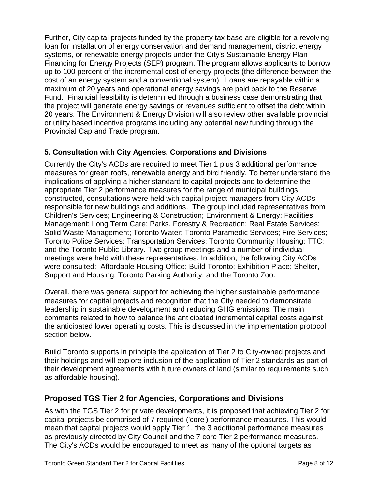Further, City capital projects funded by the property tax base are eligible for a revolving loan for installation of energy conservation and demand management, district energy systems, or renewable energy projects under the City's Sustainable Energy Plan Financing for Energy Projects (SEP) program. The program allows applicants to borrow up to 100 percent of the incremental cost of energy projects (the difference between the cost of an energy system and a conventional system). Loans are repayable within a maximum of 20 years and operational energy savings are paid back to the Reserve Fund. Financial feasibility is determined through a business case demonstrating that the project will generate energy savings or revenues sufficient to offset the debt within 20 years. The Environment & Energy Division will also review other available provincial or utility based incentive programs including any potential new funding through the Provincial Cap and Trade program.

#### **5. Consultation with City Agencies, Corporations and Divisions**

Currently the City's ACDs are required to meet Tier 1 plus 3 additional performance measures for green roofs, renewable energy and bird friendly. To better understand the implications of applying a higher standard to capital projects and to determine the appropriate Tier 2 performance measures for the range of municipal buildings constructed, consultations were held with capital project managers from City ACDs responsible for new buildings and additions. The group included representatives from Children's Services; Engineering & Construction; Environment & Energy; Facilities Management; Long Term Care; Parks, Forestry & Recreation; Real Estate Services; Solid Waste Management; Toronto Water; Toronto Paramedic Services; Fire Services; Toronto Police Services; Transportation Services; Toronto Community Housing; TTC; and the Toronto Public Library. Two group meetings and a number of individual meetings were held with these representatives. In addition, the following City ACDs were consulted: Affordable Housing Office; Build Toronto; Exhibition Place; Shelter, Support and Housing; Toronto Parking Authority; and the Toronto Zoo.

Overall, there was general support for achieving the higher sustainable performance measures for capital projects and recognition that the City needed to demonstrate leadership in sustainable development and reducing GHG emissions. The main comments related to how to balance the anticipated incremental capital costs against the anticipated lower operating costs. This is discussed in the implementation protocol section below.

Build Toronto supports in principle the application of Tier 2 to City-owned projects and their holdings and will explore inclusion of the application of Tier 2 standards as part of their development agreements with future owners of land (similar to requirements such as affordable housing).

#### **Proposed TGS Tier 2 for Agencies, Corporations and Divisions**

As with the TGS Tier 2 for private developments, it is proposed that achieving Tier 2 for capital projects be comprised of 7 required ('core') performance measures. This would mean that capital projects would apply Tier 1, the 3 additional performance measures as previously directed by City Council and the 7 core Tier 2 performance measures. The City's ACDs would be encouraged to meet as many of the optional targets as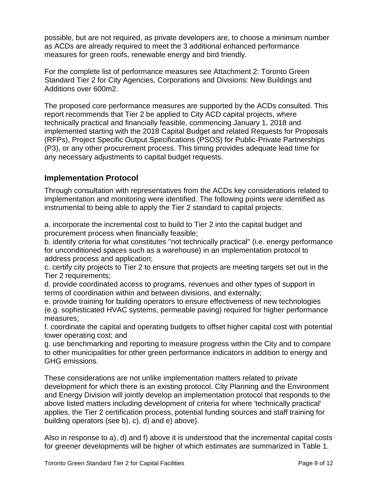possible, but are not required, as private developers are, to choose a minimum number as ACDs are already required to meet the 3 additional enhanced performance measures for green roofs, renewable energy and bird friendly.

For the complete list of performance measures see Attachment 2: Toronto Green Standard Tier 2 for City Agencies, Corporations and Divisions: New Buildings and Additions over 600m2.

The proposed core performance measures are supported by the ACDs consulted. This report recommends that Tier 2 be applied to City ACD capital projects, where technically practical and financially feasible, commencing January 1, 2018 and implemented starting with the 2018 Capital Budget and related Requests for Proposals (RFPs), Project Specific Output Specifications (PSOS) for Public-Private Partnerships (P3), or any other procurement process. This timing provides adequate lead time for any necessary adjustments to capital budget requests.

## **Implementation Protocol**

Through consultation with representatives from the ACDs key considerations related to implementation and monitoring were identified. The following points were identified as instrumental to being able to apply the Tier 2 standard to capital projects:

a. incorporate the incremental cost to build to Tier 2 into the capital budget and procurement process when financially feasible;

b. identify criteria for what constitutes "not technically practical" (i.e. energy performance for unconditioned spaces such as a warehouse) in an implementation protocol to address process and application;

c. certify city projects to Tier 2 to ensure that projects are meeting targets set out in the Tier 2 requirements;

d. provide coordinated access to programs, revenues and other types of support in terms of coordination within and between divisions, and externally;

e. provide training for building operators to ensure effectiveness of new technologies (e.g. sophisticated HVAC systems, permeable paving) required for higher performance measures;

f. coordinate the capital and operating budgets to offset higher capital cost with potential lower operating cost; and

g. use benchmarking and reporting to measure progress within the City and to compare to other municipalities for other green performance indicators in addition to energy and GHG emissions.

These considerations are not unlike implementation matters related to private development for which there is an existing protocol. City Planning and the Environment and Energy Division will jointly develop an implementation protocol that responds to the above listed matters including development of criteria for where 'technically practical' applies, the Tier 2 certification process, potential funding sources and staff training for building operators (see b), c), d) and e) above).

Also in response to a), d) and f) above it is understood that the incremental capital costs for greener developments will be higher of which estimates are summarized in Table 1.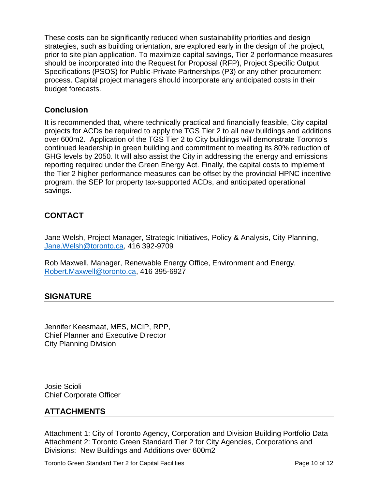These costs can be significantly reduced when sustainability priorities and design strategies, such as building orientation, are explored early in the design of the project, prior to site plan application. To maximize capital savings, Tier 2 performance measures should be incorporated into the Request for Proposal (RFP), Project Specific Output Specifications (PSOS) for Public-Private Partnerships (P3) or any other procurement process. Capital project managers should incorporate any anticipated costs in their budget forecasts.

#### **Conclusion**

It is recommended that, where technically practical and financially feasible, City capital projects for ACDs be required to apply the TGS Tier 2 to all new buildings and additions over 600m2. Application of the TGS Tier 2 to City buildings will demonstrate Toronto's continued leadership in green building and commitment to meeting its 80% reduction of GHG levels by 2050. It will also assist the City in addressing the energy and emissions reporting required under the Green Energy Act. Finally, the capital costs to implement the Tier 2 higher performance measures can be offset by the provincial HPNC incentive program, the SEP for property tax-supported ACDs, and anticipated operational savings.

# **CONTACT**

Jane Welsh, Project Manager, Strategic Initiatives, Policy & Analysis, City Planning, [Jane.Welsh@toronto.ca,](mailto:Jane.Welsh@toronto.ca) 416 392-9709

Rob Maxwell, Manager, Renewable Energy Office, Environment and Energy, [Robert.Maxwell@toronto.ca,](mailto:Robert.Maxwell@toronto.ca) 416 395-6927

#### **SIGNATURE**

Jennifer Keesmaat, MES, MCIP, RPP, Chief Planner and Executive Director City Planning Division

Josie Scioli Chief Corporate Officer

#### **ATTACHMENTS**

Attachment 1: City of Toronto Agency, Corporation and Division Building Portfolio Data Attachment 2: Toronto Green Standard Tier 2 for City Agencies, Corporations and Divisions: New Buildings and Additions over 600m2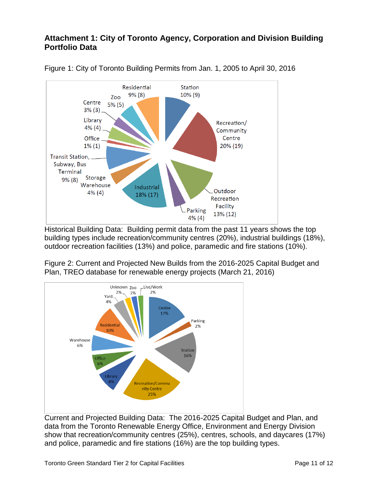# **Attachment 1: City of Toronto Agency, Corporation and Division Building Portfolio Data**



Figure 1: City of Toronto Building Permits from Jan. 1, 2005 to April 30, 2016

Historical Building Data: Building permit data from the past 11 years shows the top building types include recreation/community centres (20%), industrial buildings (18%), outdoor recreation facilities (13%) and police, paramedic and fire stations (10%).

Figure 2: Current and Projected New Builds from the 2016-2025 Capital Budget and Plan, TREO database for renewable energy projects (March 21, 2016)



Current and Projected Building Data: The 2016-2025 Capital Budget and Plan, and data from the Toronto Renewable Energy Office, Environment and Energy Division show that recreation/community centres (25%), centres, schools, and daycares (17%) and police, paramedic and fire stations (16%) are the top building types.